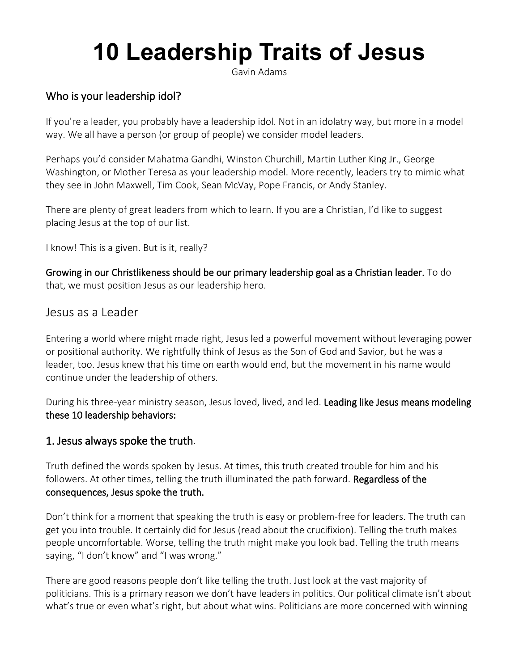# **10 Leadership Traits of Jesus**

Gavin Adams

## Who is your leadership idol?

If you're a leader, you probably have a leadership idol. Not in an idolatry way, but more in a model way. We all have a person (or group of people) we consider model leaders.

Perhaps you'd consider Mahatma Gandhi, Winston Churchill, Martin Luther King Jr., George Washington, or Mother Teresa as your leadership model. More recently, leaders try to mimic what they see in [John Maxwell,](https://www.johnmaxwell.com/) [Tim Cook,](https://twitter.com/tim_cook?ref_src=twsrc%5Egoogle%7Ctwcamp%5Eserp%7Ctwgr%5Eauthor) [Sean McVay,](https://www.therams.com/team/coaches-roster/sean-mcvay) [Pope Francis,](https://www.instagram.com/franciscus/?hl=en) or [Andy Stanley.](https://andystanley.com/)

There are plenty of great leaders from which to learn. If you are a Christian, I'd like to suggest placing Jesus at the top of our list.

I know! This is a given. But is it, really?

Growing in our Christlikeness should be our primary leadership goal as a Christian leader. To do that, we must position Jesus as our leadership hero.

#### Jesus as a Leader

Entering a world where might made right, Jesus led a powerful movement without leveraging power or positional authority. We rightfully think of Jesus as the Son of God and Savior, but he was a leader, too. Jesus knew that his time on earth would end, but the movement in his name would continue under the leadership of others.

During his three-year ministry season, Jesus loved, lived, and led. Leading like Jesus means modeling these 10 leadership behaviors:

#### 1. Jesus always spoke the truth.

Truth defined the words spoken by Jesus. At times, this truth created trouble for him and his followers. At other times, telling the truth illuminated the path forward. Regardless of the consequences, Jesus spoke the truth.

Don't think for a moment that speaking the truth is easy or problem-free for leaders. The truth can get you into trouble. It certainly did for Jesus (read about the crucifixion). Telling the truth makes people uncomfortable. Worse, telling the truth might make you look bad. Telling the truth means saying, "I don't know" and "I was wrong."

There are good reasons people don't like telling the truth. Just look at the vast majority of politicians. This is a primary reason we don't have leaders in politics. Our political climate isn't about what's true or even what's right, but about what wins. Politicians are more concerned with winning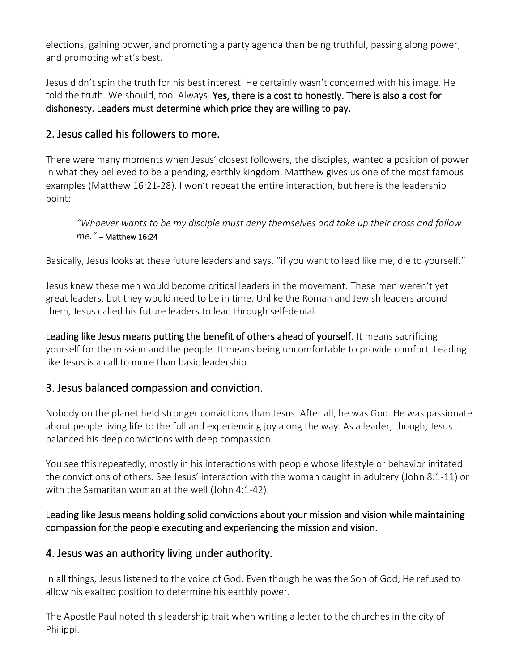elections, gaining power, and promoting a party agenda than being truthful, passing along power, and promoting what's best.

Jesus didn't spin the truth for his best interest. He certainly wasn't concerned with his image. He told the truth. We should, too. Always. Yes, there is a cost to honestly. There is also a cost for dishonesty. Leaders must determine which price they are willing to pay.

# 2. Jesus called his followers to more.

There were many moments when Jesus' closest followers, the disciples, wanted a position of power in what they believed to be a pending, earthly kingdom. Matthew gives us one of the most famous examples [\(Matthew 16:21-28](https://www.biblegateway.com/passage/?search=Matthew+16%3A21-28&version=NIV)). I won't repeat the entire interaction, but here is the leadership point:

*"Whoever wants to be my disciple must deny themselves and take up their cross and follow me."* – Matthew 16:24

Basically, Jesus looks at these future leaders and says, "if you want to lead like me, die to yourself."

Jesus knew these men would become critical leaders in the movement. These men weren't yet great leaders, but they would need to be in time. Unlike the Roman and Jewish leaders around them, Jesus called his future leaders to lead through self-denial.

Leading like Jesus means putting the benefit of others ahead of yourself. It means sacrificing yourself for the mission and the people. It means being uncomfortable to provide comfort. Leading like Jesus is a call to more than basic leadership.

# 3. Jesus balanced compassion and conviction.

Nobody on the planet held stronger convictions than Jesus. After all, he was God. He was passionate about people living life to the full and experiencing joy along the way. As a leader, though, Jesus balanced his deep convictions with deep compassion.

You see this repeatedly, mostly in his interactions with people whose lifestyle or behavior irritated the convictions of others. See Jesus' interaction with the woman caught in adultery ([John 8:1-11\)](https://www.biblegateway.com/passage/?search=John+8%3A1-11&version=NIV) or with the Samaritan woman at the well [\(John 4:1-42\)](https://www.biblegateway.com/passage/?search=John+4%3A1-42&version=NIV).

### Leading like Jesus means holding solid convictions about your mission and vision while maintaining compassion for the people executing and experiencing the mission and vision.

# 4. Jesus was an authority living under authority.

In all things, Jesus listened to the voice of God. Even though he was the Son of God, He refused to allow his exalted position to determine his earthly power.

The Apostle Paul noted this leadership trait when writing a letter to the churches in the city of Philippi.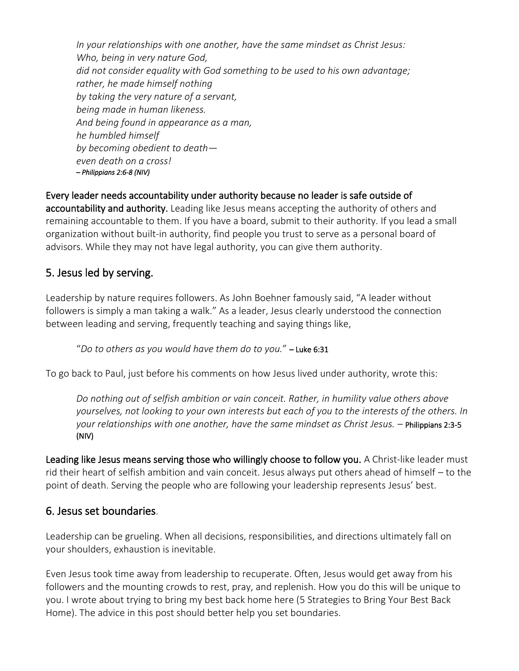*In your relationships with one another, have the same mindset as Christ Jesus: Who, being in very nature God, did not consider equality with God something to be used to his own advantage; rather, he made himself nothing by taking the very nature of a servant, being made in human likeness. And being found in appearance as a man, he humbled himself by becoming obedient to death even death on a cross! – Philippians 2:6-8 (NIV)*

Every leader needs accountability under authority because no leader is safe outside of accountability and authority. Leading like Jesus means accepting the authority of others and remaining accountable to them. If you have a board, submit to their authority. If you lead a small organization without built-in authority, find people you trust to serve as a personal board of advisors. While they may not have legal authority, you can give them authority.

## 5. Jesus led by serving.

Leadership by nature requires followers. As John Boehner famously said, "A leader without followers is simply a man taking a walk." As a leader, Jesus clearly understood the connection between leading and serving, frequently teaching and saying things like,

"*Do to others as you would have them do to you.*" – Luke 6:31

To go back to Paul, just before his comments on how Jesus lived under authority, wrote this:

*Do nothing out of selfish ambition or vain conceit. Rather, in humility value others above yourselves, not looking to your own interests but each of you to the interests of the others. In your relationships with one another, have the same mindset as Christ Jesus. –* Philippians 2:3-5 (NIV)

Leading like Jesus means serving those who willingly choose to follow you. A Christ-like leader must rid their heart of selfish ambition and vain conceit. Jesus always put others ahead of himself – to the point of death. Serving the people who are following your leadership represents Jesus' best.

### 6. Jesus set boundaries.

Leadership can be grueling. When all decisions, responsibilities, and directions ultimately fall on your shoulders, exhaustion is inevitable.

Even Jesus took time away from leadership to recuperate. Often, Jesus would get away from his followers and the mounting crowds to rest, pray, and replenish. How you do this will be unique to you. I wrote about trying to bring my best back home here [\(5 Strategies to Bring Your Best Back](https://gavinadams.com/5-strategies-to-bring-your-best-back-home/)  [Home\)](https://gavinadams.com/5-strategies-to-bring-your-best-back-home/). The advice in this post should better help you set boundaries.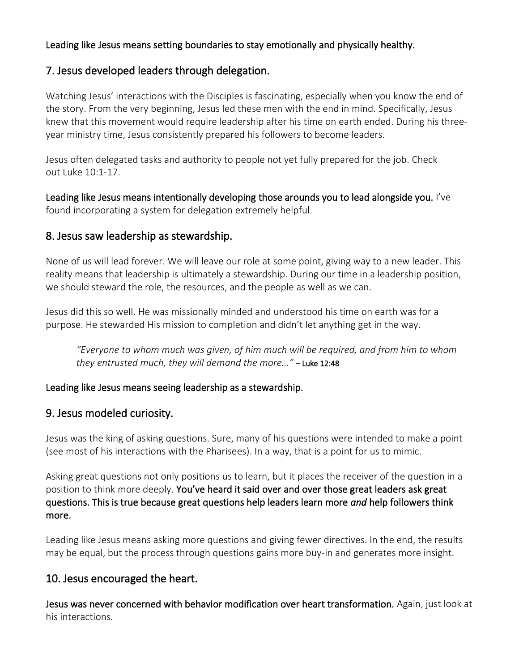#### Leading like Jesus means setting boundaries to stay emotionally and physically healthy.

### 7. Jesus developed leaders through delegation.

Watching Jesus' interactions with the Disciples is fascinating, especially when you know the end of the story. From the very beginning, Jesus led these men with the end in mind. Specifically, Jesus knew that this movement would require leadership after his time on earth ended. During his threeyear ministry time, Jesus consistently prepared his followers to become leaders.

Jesus often delegated tasks and authority to people not yet fully prepared for the job. Check out [Luke 10:1-17.](https://www.biblegateway.com/passage/?search=Luke+10%3A1-17&version=NIV)

Leading like Jesus means intentionally developing those arounds you to lead alongside you. I've found [incorporating a system for delegation](https://gavinadams.com/the-four-levels-of-delegation/) extremely helpful.

### 8. Jesus saw leadership as stewardship.

None of us will lead forever. We will leave our role at some point, giving way to a new leader. This reality means that leadership is ultimately a stewardship. During our time in a leadership position, we should steward the role, the resources, and the people as well as we can.

Jesus did this so well. He was missionally minded and understood his time on earth was for a purpose. He stewarded His mission to completion and didn't let anything get in the way.

*"Everyone to whom much was given, of him much will be required, and from him to whom they entrusted much, they will demand the more…"* – Luke 12:48

#### Leading like Jesus means seeing leadership as a stewardship.

#### 9. Jesus modeled curiosity.

Jesus was the king of asking questions. Sure, many of his questions were intended to make a point (see most of his interactions with the Pharisees). In a way, that is a point for us to mimic.

Asking great questions not only positions us to learn, but it places the receiver of the question in a position to think more deeply. You've heard it said over and over those great leaders ask great questions. This is true because great questions help leaders learn more *and* help followers think more.

Leading like Jesus means asking more questions and giving fewer directives. In the end, the results may be equal, but the process through questions gains more buy-in and generates more insight.

# 10. Jesus encouraged the heart.

Jesus was never concerned with behavior modification over heart transformation. Again, just look at his interactions.